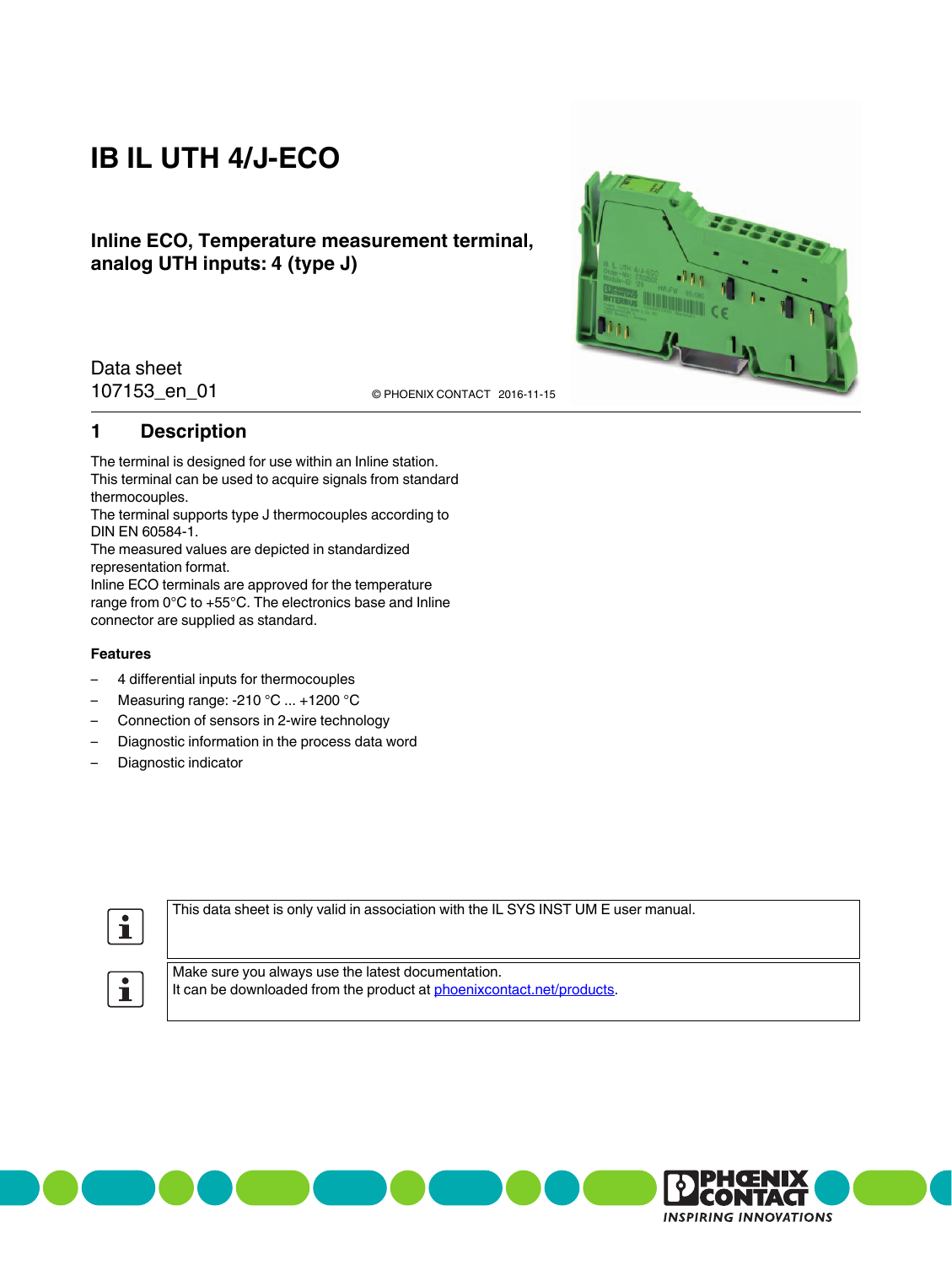# **IB IL UTH 4/J-ECO**

### **Inline ECO, Temperature measurement terminal, analog UTH inputs: 4 (type J)**



Data sheet

107153\_en\_01 **2016-11-15** © PHOENIX CONTACT 2016-11-15

### <span id="page-0-0"></span>**1 Description**

The terminal is designed for use within an Inline station. This terminal can be used to acquire signals from standard thermocouples.

The terminal supports type J thermocouples according to DIN EN 60584-1.

The measured values are depicted in standardized representation format.

Inline ECO terminals are approved for the temperature range from 0°C to +55°C. The electronics base and Inline connector are supplied as standard.

#### **Features**

- 4 differential inputs for thermocouples
- Measuring range: -210  $^{\circ}$ C ... +1200  $^{\circ}$ C
- Connection of sensors in 2-wire technology
- Diagnostic information in the process data word
- Diagnostic indicator



This data sheet is only valid in association with the IL SYS INST UM E user manual.



Make sure you always use the latest documentation. It can be downloaded from the product at [phoenixcontact.net/products](http://phoenixcontact.net/products).

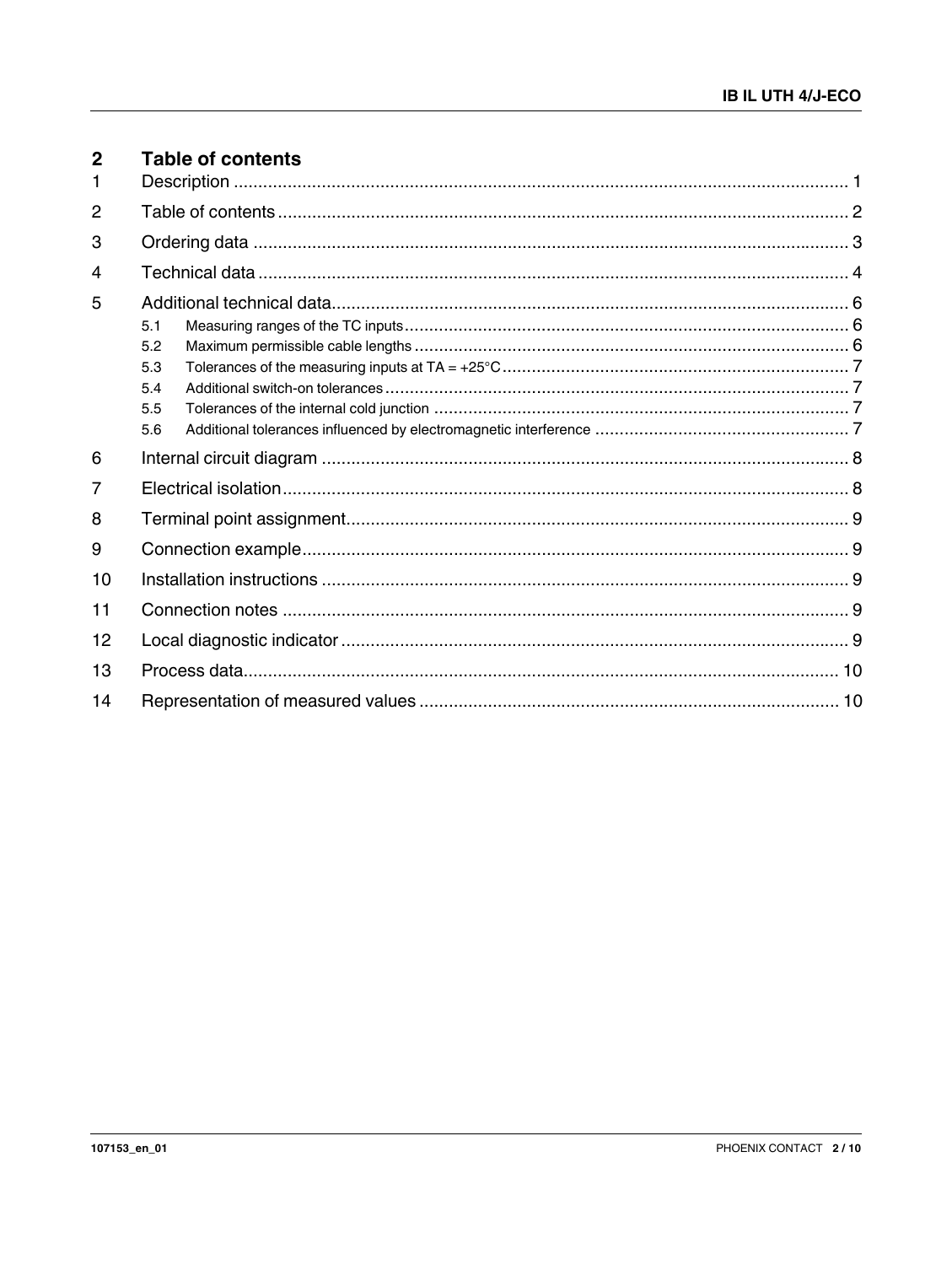<span id="page-1-0"></span>

| $\mathbf{2}$ | <b>Table of contents</b>        |  |
|--------------|---------------------------------|--|
| 2            |                                 |  |
| 3            |                                 |  |
| 4            |                                 |  |
| 5            | 5.1                             |  |
|              | 5.2<br>5.3<br>5.4<br>5.5<br>5.6 |  |
| 6            |                                 |  |
| 7            |                                 |  |
| 8            |                                 |  |
| 9            |                                 |  |
| 10           |                                 |  |
| 11           |                                 |  |
| 12           |                                 |  |
| 13           |                                 |  |
| 14           |                                 |  |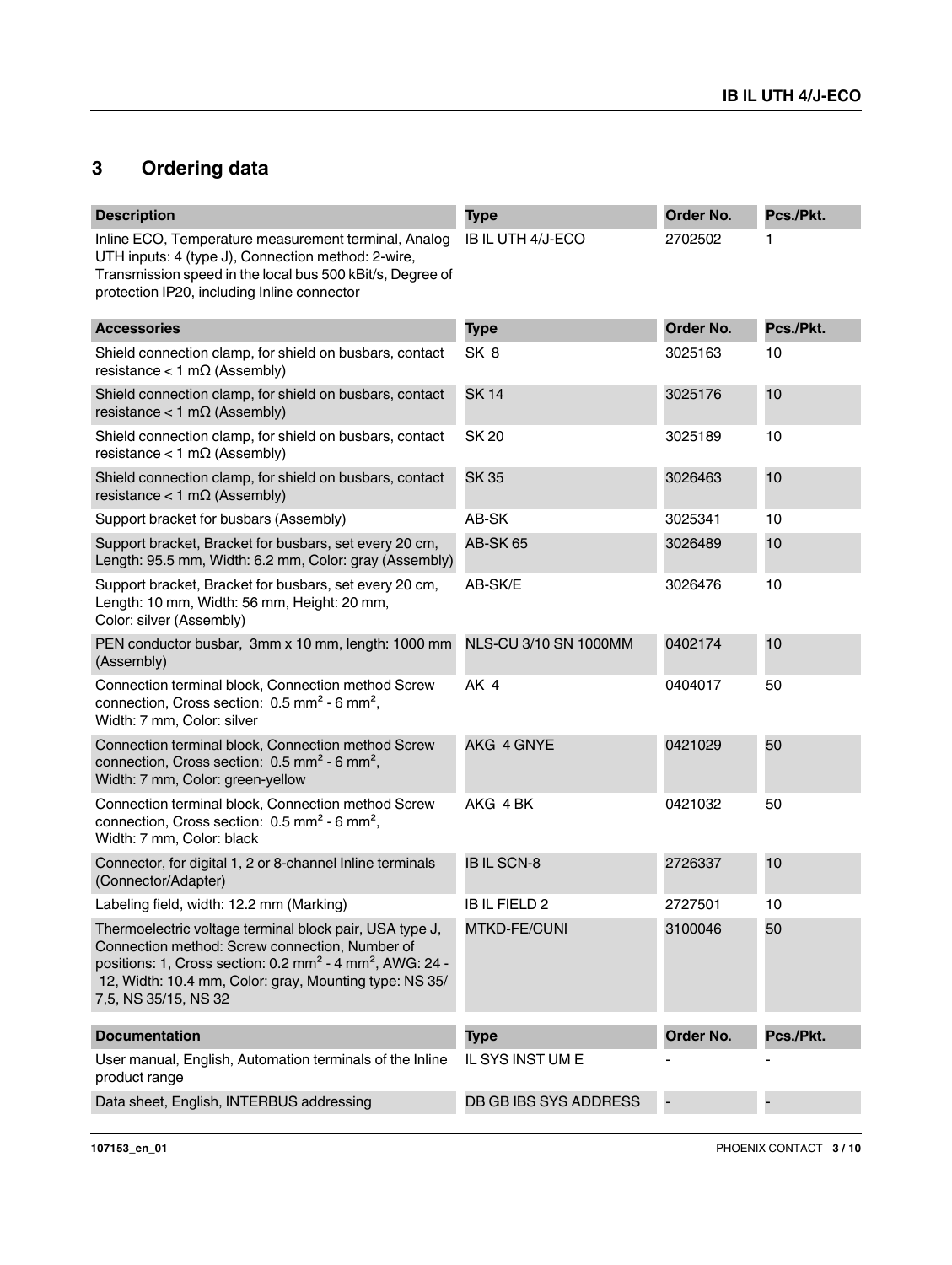# <span id="page-2-0"></span>**3 Ordering data**

| <b>Description</b>                                                                                                                                                                                                                                                              | <b>Type</b>           | Order No. | Pcs./Pkt. |
|---------------------------------------------------------------------------------------------------------------------------------------------------------------------------------------------------------------------------------------------------------------------------------|-----------------------|-----------|-----------|
| Inline ECO, Temperature measurement terminal, Analog<br>UTH inputs: 4 (type J), Connection method: 2-wire,<br>Transmission speed in the local bus 500 kBit/s, Degree of<br>protection IP20, including Inline connector                                                          | IB IL UTH 4/J-ECO     | 2702502   | 1         |
| <b>Accessories</b>                                                                                                                                                                                                                                                              | <b>Type</b>           | Order No. | Pcs./Pkt. |
| Shield connection clamp, for shield on busbars, contact<br>resistance < 1 m $\Omega$ (Assembly)                                                                                                                                                                                 | SK 8                  | 3025163   | 10        |
| Shield connection clamp, for shield on busbars, contact<br>resistance < 1 m $\Omega$ (Assembly)                                                                                                                                                                                 | <b>SK14</b>           | 3025176   | 10        |
| Shield connection clamp, for shield on busbars, contact<br>resistance < 1 m $\Omega$ (Assembly)                                                                                                                                                                                 | <b>SK 20</b>          | 3025189   | 10        |
| Shield connection clamp, for shield on busbars, contact<br>resistance < 1 m $\Omega$ (Assembly)                                                                                                                                                                                 | <b>SK35</b>           | 3026463   | 10        |
| Support bracket for busbars (Assembly)                                                                                                                                                                                                                                          | AB-SK                 | 3025341   | 10        |
| Support bracket, Bracket for busbars, set every 20 cm,<br>Length: 95.5 mm, Width: 6.2 mm, Color: gray (Assembly)                                                                                                                                                                | <b>AB-SK 65</b>       | 3026489   | 10        |
| Support bracket, Bracket for busbars, set every 20 cm,<br>Length: 10 mm, Width: 56 mm, Height: 20 mm,<br>Color: silver (Assembly)                                                                                                                                               | AB-SK/E               | 3026476   | 10        |
| PEN conductor busbar, 3mm x 10 mm, length: 1000 mm<br>(Assembly)                                                                                                                                                                                                                | NLS-CU 3/10 SN 1000MM | 0402174   | 10        |
| Connection terminal block, Connection method Screw<br>connection, Cross section: 0.5 mm <sup>2</sup> - 6 mm <sup>2</sup> ,<br>Width: 7 mm, Color: silver                                                                                                                        | AK 4                  | 0404017   | 50        |
| Connection terminal block, Connection method Screw<br>connection, Cross section: 0.5 mm <sup>2</sup> - 6 mm <sup>2</sup> ,<br>Width: 7 mm, Color: green-yellow                                                                                                                  | AKG 4 GNYE            | 0421029   | 50        |
| Connection terminal block, Connection method Screw<br>connection, Cross section: $0.5$ mm <sup>2</sup> - 6 mm <sup>2</sup> ,<br>Width: 7 mm, Color: black                                                                                                                       | AKG 4 BK              | 0421032   | 50        |
| Connector, for digital 1, 2 or 8-channel Inline terminals<br>(Connector/Adapter)                                                                                                                                                                                                | <b>IBIL SCN-8</b>     | 2726337   | 10        |
| Labeling field, width: 12.2 mm (Marking)                                                                                                                                                                                                                                        | <b>IBIL FIELD 2</b>   | 2727501   | 10        |
| Thermoelectric voltage terminal block pair, USA type J,<br>Connection method: Screw connection, Number of<br>positions: 1, Cross section: 0.2 mm <sup>2</sup> - 4 mm <sup>2</sup> , AWG: 24 -<br>12, Width: 10.4 mm, Color: gray, Mounting type: NS 35/<br>7,5, NS 35/15, NS 32 | <b>MTKD-FE/CUNI</b>   | 3100046   | 50        |
| <b>Documentation</b>                                                                                                                                                                                                                                                            | <b>Type</b>           | Order No. | Pcs./Pkt. |
| User manual, English, Automation terminals of the Inline<br>product range                                                                                                                                                                                                       | IL SYS INST UM E      |           |           |
| Data sheet, English, INTERBUS addressing                                                                                                                                                                                                                                        | DB GB IBS SYS ADDRESS |           |           |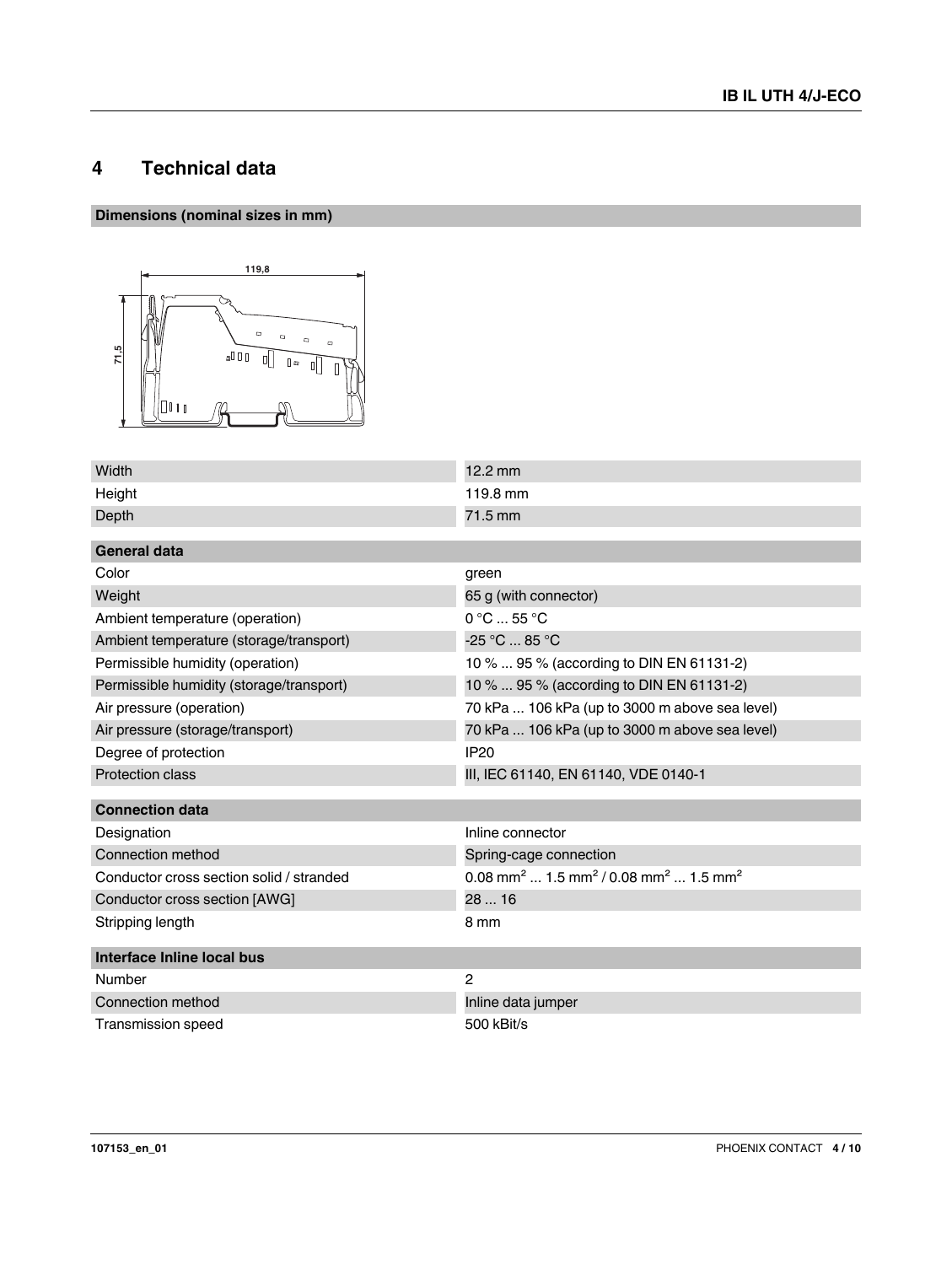# <span id="page-3-0"></span>**4 Technical data**

### **Dimensions (nominal sizes in mm)**



| Width                                    | $12.2 \text{ mm}$                                                                   |
|------------------------------------------|-------------------------------------------------------------------------------------|
| Height                                   | 119.8 mm                                                                            |
| Depth                                    | 71.5 mm                                                                             |
| General data                             |                                                                                     |
|                                          |                                                                                     |
| Color                                    | green                                                                               |
| Weight                                   | 65 g (with connector)                                                               |
| Ambient temperature (operation)          | 0 °C  55 °C                                                                         |
| Ambient temperature (storage/transport)  | $-25 °C  85 °C$                                                                     |
| Permissible humidity (operation)         | 10 %  95 % (according to DIN EN 61131-2)                                            |
| Permissible humidity (storage/transport) | 10 %  95 % (according to DIN EN 61131-2)                                            |
| Air pressure (operation)                 | 70 kPa  106 kPa (up to 3000 m above sea level)                                      |
| Air pressure (storage/transport)         | 70 kPa  106 kPa (up to 3000 m above sea level)                                      |
| Degree of protection                     | <b>IP20</b>                                                                         |
| Protection class                         | III, IEC 61140, EN 61140, VDE 0140-1                                                |
| <b>Connection data</b>                   |                                                                                     |
| Designation                              | Inline connector                                                                    |
| Connection method                        | Spring-cage connection                                                              |
| Conductor cross section solid / stranded | 0.08 mm <sup>2</sup> 1.5 mm <sup>2</sup> / 0.08 mm <sup>2</sup> 1.5 mm <sup>2</sup> |
| Conductor cross section [AWG]            | 2816                                                                                |
| Stripping length                         | 8 mm                                                                                |
| Interface Inline local bus               |                                                                                     |
| Number                                   | 2                                                                                   |
| Connection method                        | Inline data jumper                                                                  |
| <b>Transmission speed</b>                | 500 kBit/s                                                                          |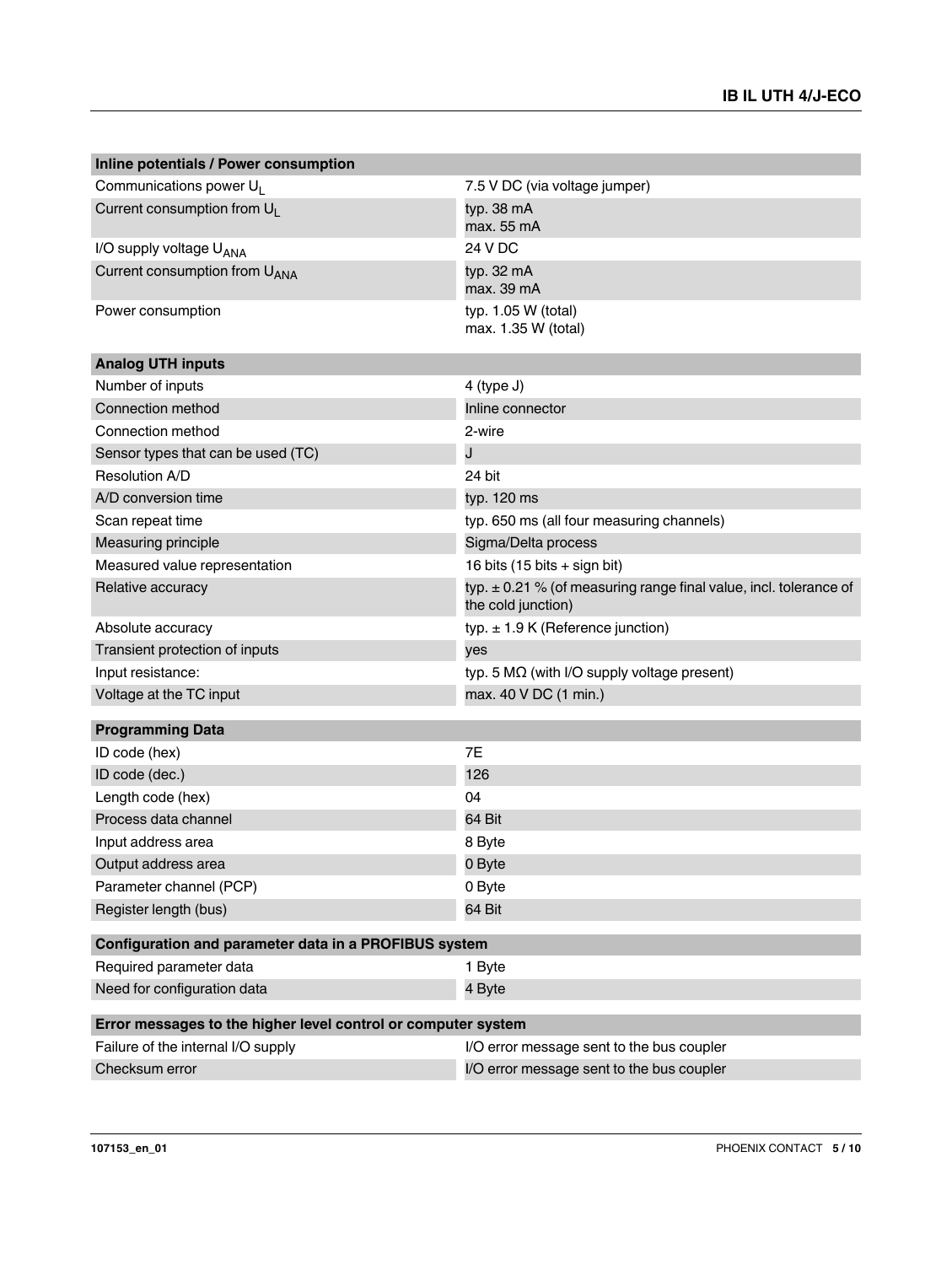| Inline potentials / Power consumption                         |                                                                                             |
|---------------------------------------------------------------|---------------------------------------------------------------------------------------------|
| Communications power U <sub>I</sub>                           | 7.5 V DC (via voltage jumper)                                                               |
| Current consumption from U <sub>1</sub>                       | typ. 38 mA<br>max. 55 mA                                                                    |
| I/O supply voltage U <sub>ANA</sub>                           | 24 V DC                                                                                     |
| Current consumption from U <sub>ANA</sub>                     | typ. 32 mA<br>max. 39 mA                                                                    |
| Power consumption                                             | typ. 1.05 W (total)<br>max. 1.35 W (total)                                                  |
| <b>Analog UTH inputs</b>                                      |                                                                                             |
| Number of inputs                                              | 4 (type J)                                                                                  |
| Connection method                                             | Inline connector                                                                            |
| Connection method                                             | 2-wire                                                                                      |
| Sensor types that can be used (TC)                            | J                                                                                           |
| Resolution A/D                                                | 24 bit                                                                                      |
| A/D conversion time                                           | typ. 120 ms                                                                                 |
| Scan repeat time                                              | typ. 650 ms (all four measuring channels)                                                   |
| Measuring principle                                           | Sigma/Delta process                                                                         |
| Measured value representation                                 | 16 bits (15 bits + sign bit)                                                                |
| Relative accuracy                                             | typ. $\pm$ 0.21 % (of measuring range final value, incl. tolerance of<br>the cold junction) |
| Absolute accuracy                                             | typ. $\pm$ 1.9 K (Reference junction)                                                       |
| Transient protection of inputs                                | yes                                                                                         |
| Input resistance:                                             | typ. 5 $M\Omega$ (with I/O supply voltage present)                                          |
| Voltage at the TC input                                       | max. 40 V DC (1 min.)                                                                       |
| <b>Programming Data</b>                                       |                                                                                             |
| ID code (hex)                                                 | 7E                                                                                          |
| ID code (dec.)                                                | 126                                                                                         |
| Length code (hex)                                             | 04                                                                                          |
| Process data channel                                          | 64 Bit                                                                                      |
| Input address area                                            | 8 Byte                                                                                      |
| Output address area                                           | 0 Byte                                                                                      |
| Parameter channel (PCP)                                       | 0 Byte                                                                                      |
| Register length (bus)                                         | 64 Bit                                                                                      |
|                                                               |                                                                                             |
| Configuration and parameter data in a PROFIBUS system         |                                                                                             |
| Required parameter data                                       | 1 Byte                                                                                      |
| Need for configuration data                                   | 4 Byte                                                                                      |
| Error messages to the higher level control or computer system |                                                                                             |
| Failure of the internal I/O supply                            | I/O error message sent to the bus coupler                                                   |
| Checksum error                                                | I/O error message sent to the bus coupler                                                   |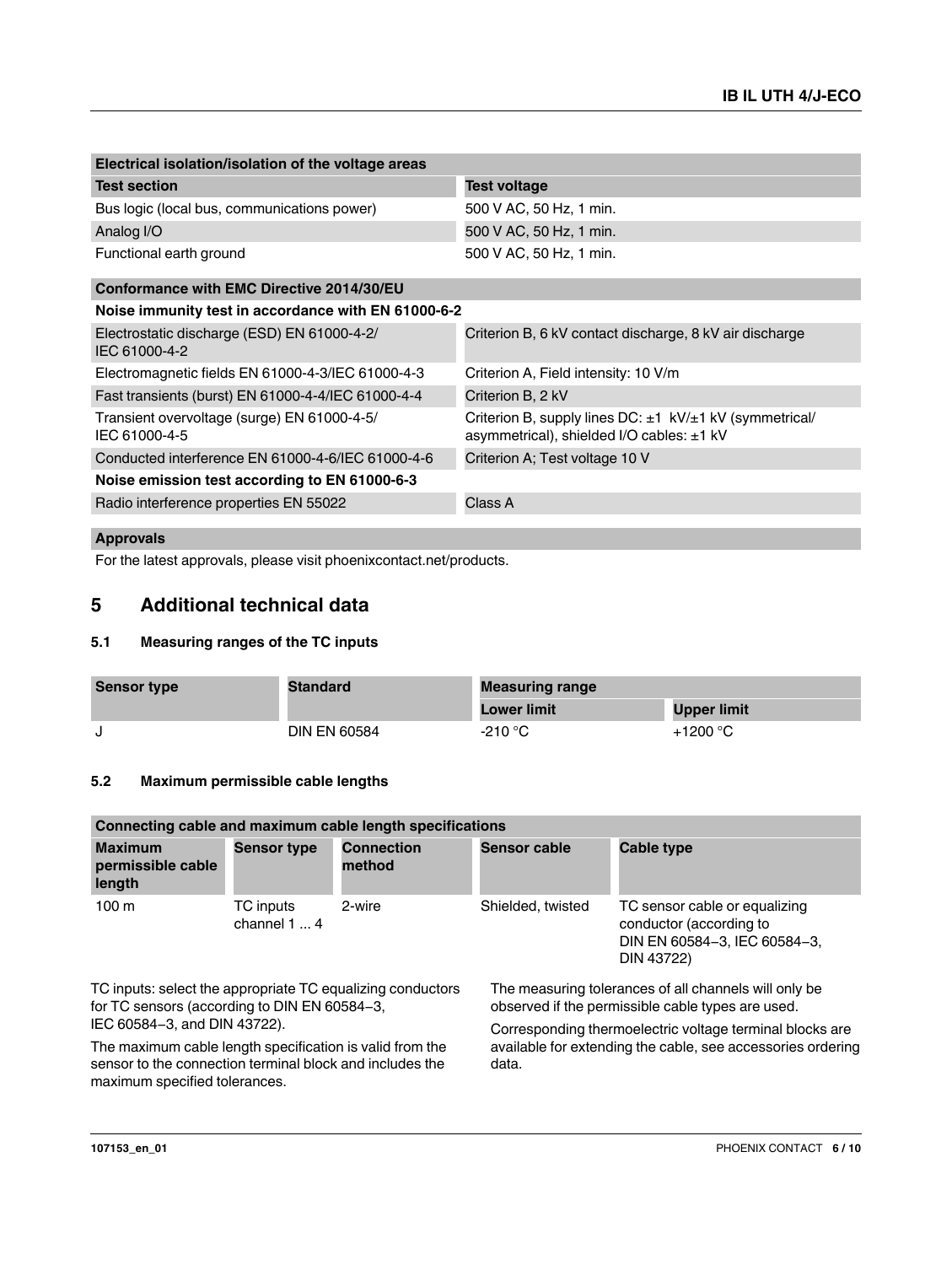| Electrical isolation/isolation of the voltage areas          |                                                                                                                 |
|--------------------------------------------------------------|-----------------------------------------------------------------------------------------------------------------|
| <b>Test section</b>                                          | <b>Test voltage</b>                                                                                             |
| Bus logic (local bus, communications power)                  | 500 V AC, 50 Hz, 1 min.                                                                                         |
| Analog I/O                                                   | 500 V AC, 50 Hz, 1 min.                                                                                         |
| Functional earth ground                                      | 500 V AC, 50 Hz, 1 min.                                                                                         |
| Conformance with EMC Directive 2014/30/EU                    |                                                                                                                 |
| Noise immunity test in accordance with EN 61000-6-2          |                                                                                                                 |
| Electrostatic discharge (ESD) EN 61000-4-2/<br>IEC 61000-4-2 | Criterion B, 6 kV contact discharge, 8 kV air discharge                                                         |
| Electromagnetic fields EN 61000-4-3/IEC 61000-4-3            | Criterion A, Field intensity: 10 V/m                                                                            |
| Fast transients (burst) EN 61000-4-4/IEC 61000-4-4           | Criterion B, 2 kV                                                                                               |
| Transient overvoltage (surge) EN 61000-4-5/<br>IEC 61000-4-5 | Criterion B, supply lines $DC: \pm 1$ kV/ $\pm 1$ kV (symmetrical/<br>asymmetrical), shielded I/O cables: ±1 kV |
| Conducted interference EN 61000-4-6/IEC 61000-4-6            | Criterion A; Test voltage 10 V                                                                                  |
| Noise emission test according to EN 61000-6-3                |                                                                                                                 |
| Radio interference properties EN 55022                       | Class A                                                                                                         |
|                                                              |                                                                                                                 |

#### **Approvals**

For the latest approvals, please visit phoenixcontact.net/products.

### <span id="page-5-0"></span>**5 Additional technical data**

#### <span id="page-5-1"></span>**5.1 Measuring ranges of the TC inputs**

| <b>Sensor type</b> | <b>Standard</b>     | <b>Measuring range</b> |                    |  |
|--------------------|---------------------|------------------------|--------------------|--|
|                    |                     | <b>Lower limit</b>     | <b>Upper limit</b> |  |
|                    | <b>DIN EN 60584</b> | $-210 °C$              | $+1200 °C$         |  |

#### <span id="page-5-2"></span>**5.2 Maximum permissible cable lengths**

| Connecting cable and maximum cable length specifications |                           |                             |                     |                                                                                                        |  |  |
|----------------------------------------------------------|---------------------------|-----------------------------|---------------------|--------------------------------------------------------------------------------------------------------|--|--|
| <b>Maximum</b><br>permissible cable<br>length            | <b>Sensor type</b>        | <b>Connection</b><br>method | <b>Sensor cable</b> | Cable type                                                                                             |  |  |
| 100 <sub>m</sub>                                         | TC inputs<br>channel $14$ | 2-wire                      | Shielded, twisted   | TC sensor cable or equalizing<br>conductor (according to<br>DIN EN 60584-3, IEC 60584-3,<br>DIN 43722) |  |  |

TC inputs: select the appropriate TC equalizing conductors for TC sensors (according to DIN EN 60584-3, IEC 60584-3, and DIN 43722).

The maximum cable length specification is valid from the sensor to the connection terminal block and includes the maximum specified tolerances.

The measuring tolerances of all channels will only be observed if the permissible cable types are used.

Corresponding thermoelectric voltage terminal blocks are available for extending the cable, see accessories ordering data.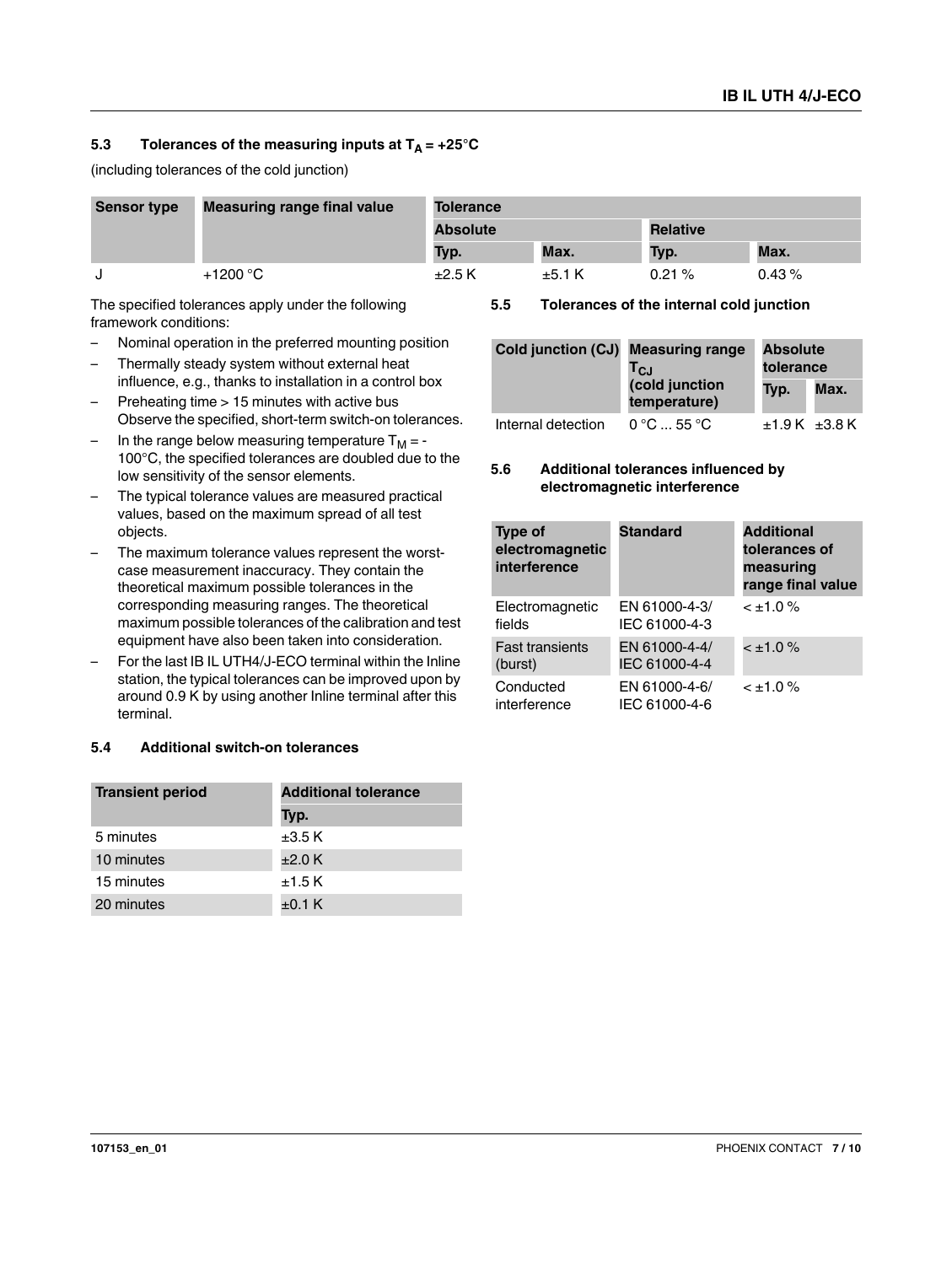#### <span id="page-6-0"></span>5.3 Tolerances of the measuring inputs at  $T_A = +25^\circ C$

(including tolerances of the cold junction)

| <b>Sensor type</b> | <b>Measuring range final value</b> | <b>Tolerance</b> |       |                 |       |
|--------------------|------------------------------------|------------------|-------|-----------------|-------|
|                    |                                    | <b>Absolute</b>  |       | <b>Relative</b> |       |
|                    |                                    | Typ.             | Max.  | Typ.            | Max.  |
|                    | $+1200 °C$                         | $\pm 2.5$ K      | ±5.1K | 0.21%           | 0.43% |

The specified tolerances apply under the following framework conditions:

- Nominal operation in the preferred mounting position
- Thermally steady system without external heat influence, e.g., thanks to installation in a control box
- Preheating time > 15 minutes with active bus Observe the specified, short-term switch-on tolerances.
- In the range below measuring temperature  $T_M = -$ 100°C, the specified tolerances are doubled due to the low sensitivity of the sensor elements.
- The typical tolerance values are measured practical values, based on the maximum spread of all test objects.
- The maximum tolerance values represent the worstcase measurement inaccuracy. They contain the theoretical maximum possible tolerances in the corresponding measuring ranges. The theoretical maximum possible tolerances of the calibration and test equipment have also been taken into consideration.
- For the last IB IL UTH4/J-ECO terminal within the Inline station, the typical tolerances can be improved upon by around 0.9 K by using another Inline terminal after this terminal.

#### <span id="page-6-1"></span>**5.4 Additional switch-on tolerances**

| <b>Transient period</b> | <b>Additional tolerance</b> |  |  |
|-------------------------|-----------------------------|--|--|
|                         | Typ.                        |  |  |
| 5 minutes               | $\pm 3.5$ K                 |  |  |
| 10 minutes              | $\pm 2.0$ K                 |  |  |
| 15 minutes              | $±1.5$ K                    |  |  |
| 20 minutes              | $+0.1 K$                    |  |  |

<span id="page-6-2"></span>**5.5 Tolerances of the internal cold junction**

| Cold junction (CJ) | <b>Measuring range</b><br><b>Absolute</b><br>tolerance<br>TcJ |      |               |
|--------------------|---------------------------------------------------------------|------|---------------|
|                    | (cold junction<br>temperature)                                | Typ. | Max.          |
| Internal detection | $0^{\circ}$ C $$ 55 $^{\circ}$ C                              |      | ±1.9 K ±3.8 K |

#### <span id="page-6-3"></span>**5.6 Additional tolerances influenced by electromagnetic interference**

| <b>Type of</b><br>electromagnetic<br>interference | <b>Standard</b>                | <b>Additional</b><br>tolerances of<br>measuring<br>range final value |
|---------------------------------------------------|--------------------------------|----------------------------------------------------------------------|
| Electromagnetic<br>fields                         | EN 61000-4-3/<br>IEC 61000-4-3 | $< \pm 1.0 \%$                                                       |
| <b>Fast transients</b><br>(burst)                 | EN 61000-4-4/<br>IEC 61000-4-4 | $< \pm 1.0 \%$                                                       |
| Conducted<br>interference                         | EN 61000-4-6/<br>IEC 61000-4-6 | $< \pm 1.0 \%$                                                       |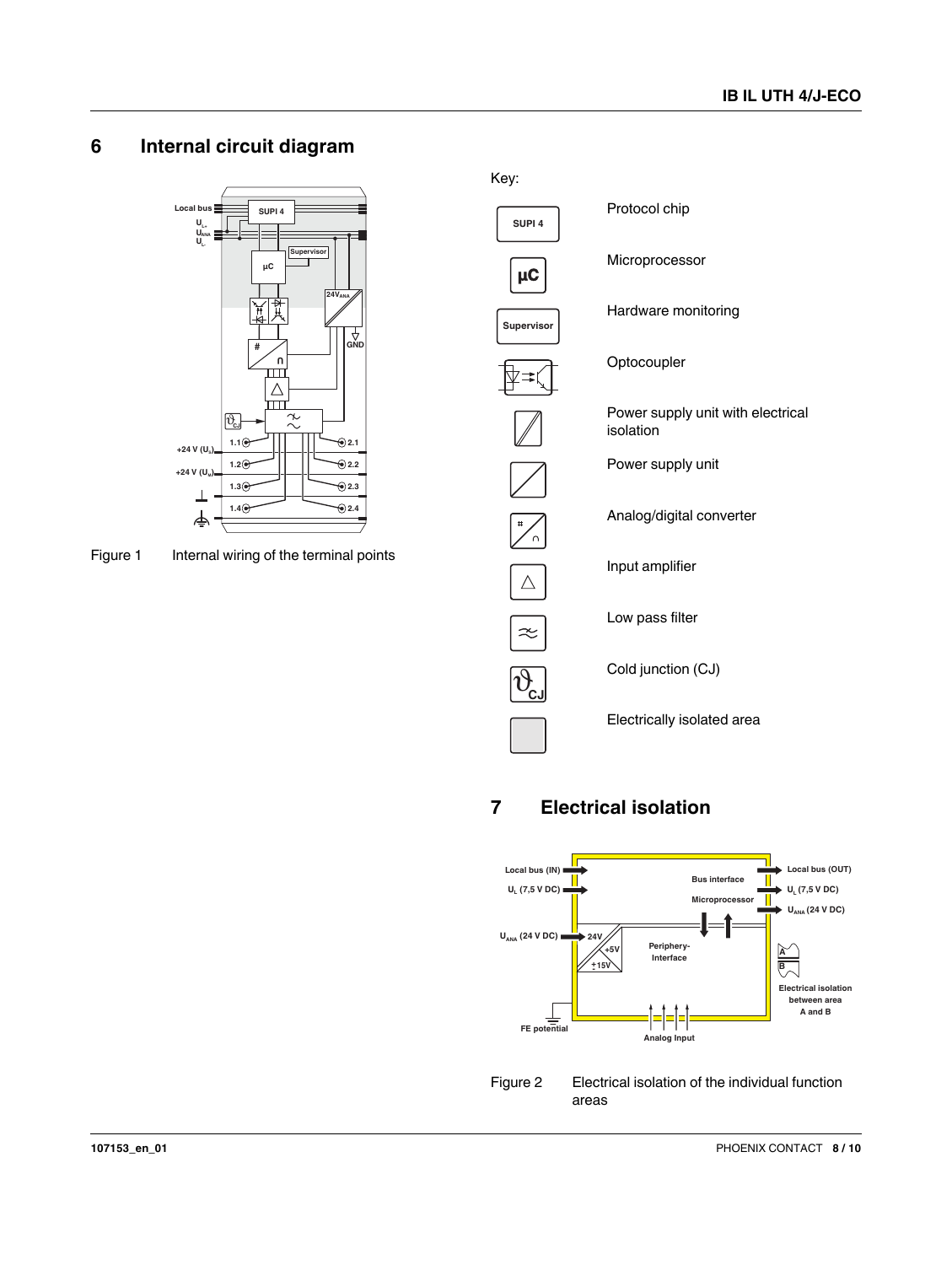### <span id="page-7-0"></span>**6 Internal circuit diagram**



Figure 1 Internal wiring of the terminal points

Protocol chip **SUPI 4** Microprocessor **µC** Hardware monitoring **Supervisor Optocoupler** Power supply unit with electrical isolation Power supply unit Analog/digital converter Input amplifier  $\triangle$ Low pass filter  $\approx$  $\overline{\vartheta}$ Cold junction (CJ) **CJ** Electrically isolated area

Key:

# <span id="page-7-1"></span>**7 Electrical isolation**



Figure 2 Electrical isolation of the individual function areas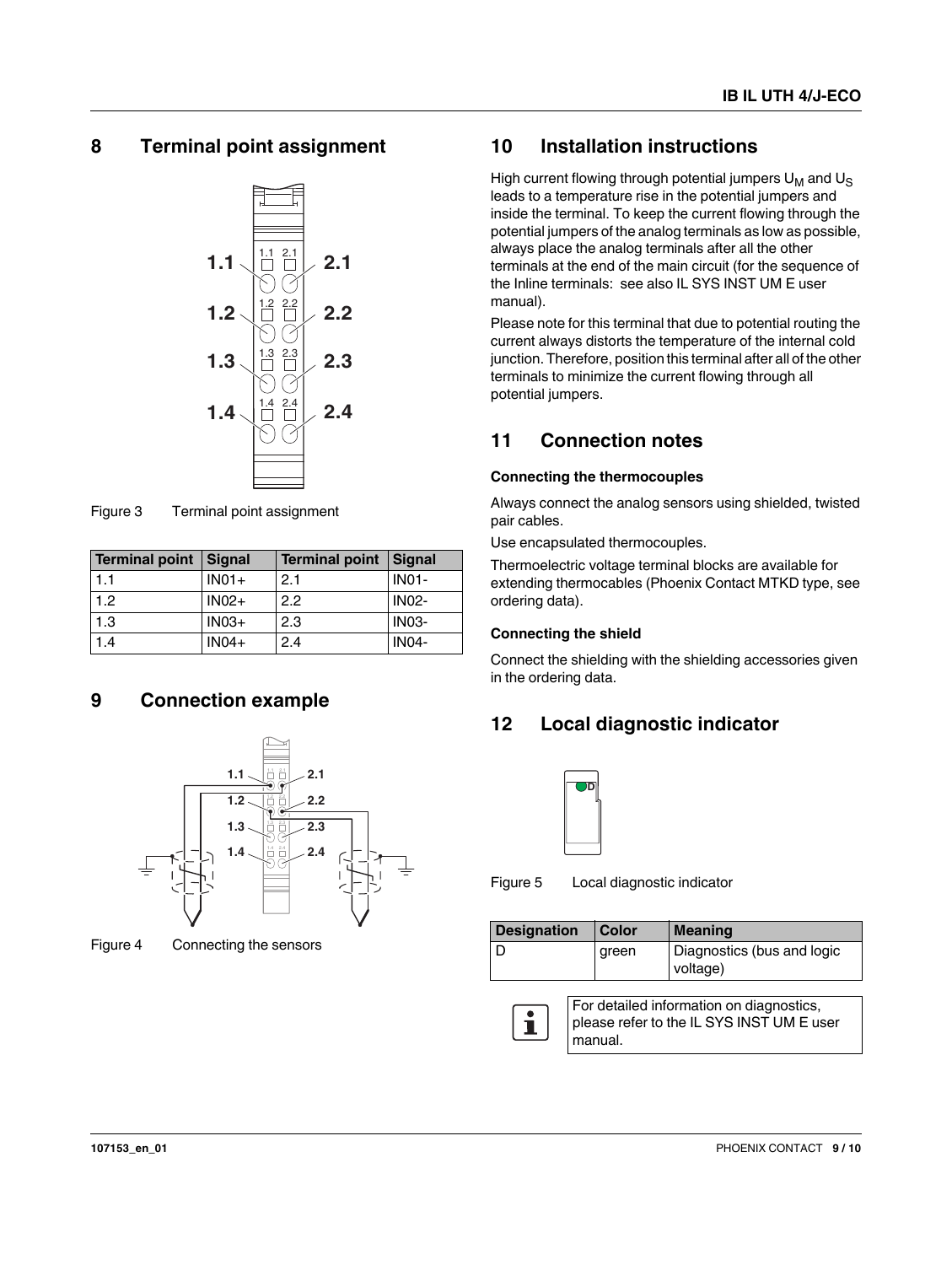### <span id="page-8-0"></span>**8 Terminal point assignment**



Figure 3 Terminal point assignment

| Terminal point Signal |         | <b>Terminal point</b> | <b>Signal</b> |
|-----------------------|---------|-----------------------|---------------|
| 1.1                   | $IN01+$ | 2.1                   | <b>IN01-</b>  |
| 1.2                   | $INO2+$ | 2.2                   | <b>IN02-</b>  |
| 1.3                   | $IN03+$ | 2.3                   | <b>IN03-</b>  |
| 1.4                   | $IN04+$ | 2.4                   | <b>IN04-</b>  |

#### <span id="page-8-1"></span>**9 Connection example**



Figure 4 Connecting the sensors

### <span id="page-8-2"></span>**10 Installation instructions**

High current flowing through potential jumpers  $U_M$  and  $U_S$ leads to a temperature rise in the potential jumpers and inside the terminal. To keep the current flowing through the potential jumpers of the analog terminals as low as possible, always place the analog terminals after all the other terminals at the end of the main circuit (for the sequence of the Inline terminals: see also IL SYS INST UM E user manual).

Please note for this terminal that due to potential routing the current always distorts the temperature of the internal cold junction. Therefore, position this terminal after all of the other terminals to minimize the current flowing through all potential jumpers.

### <span id="page-8-3"></span>**11 Connection notes**

#### **Connecting the thermocouples**

Always connect the analog sensors using shielded, twisted pair cables.

Use encapsulated thermocouples.

Thermoelectric voltage terminal blocks are available for extending thermocables (Phoenix Contact MTKD type, see ordering data).

#### **Connecting the shield**

Connect the shielding with the shielding accessories given in the ordering data.

# <span id="page-8-4"></span>**12 Local diagnostic indicator**



Figure 5 Local diagnostic indicator

manual.

| <b>Designation</b>                                                                    | <b>Color</b> | <b>Meaning</b>                         |  |  |  |  |
|---------------------------------------------------------------------------------------|--------------|----------------------------------------|--|--|--|--|
|                                                                                       | green        | Diagnostics (bus and logic<br>voltage) |  |  |  |  |
| For detailed information on diagnostics,<br>please refer to the IL SYS INST UM E user |              |                                        |  |  |  |  |